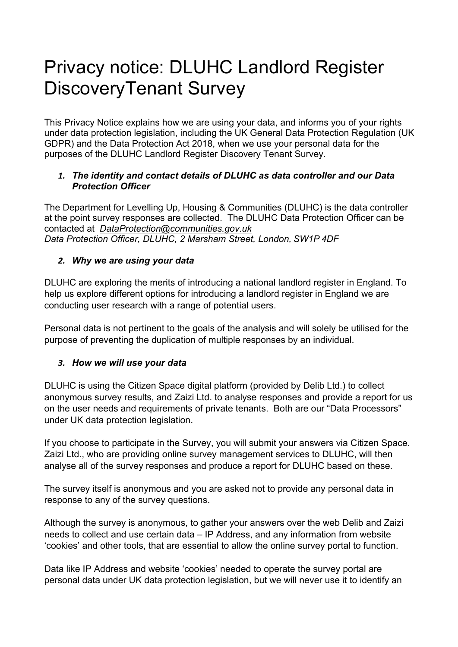# Privacy notice: DLUHC Landlord Register DiscoveryTenant Survey

This Privacy Notice explains how we are using your data, and informs you of your rights under data protection legislation, including the UK General Data Protection Regulation (UK GDPR) and the Data Protection Act 2018, when we use your personal data for the purposes of the DLUHC Landlord Register Discovery Tenant Survey.

## *1. The identity and contact details of DLUHC as data controller and our Data Protection Officer*

The Department for Levelling Up, Housing & Communities (DLUHC) is the data controller at the point survey responses are collected. The DLUHC Data Protection Officer can be contacted at *DataProtection@communities.gov.uk Data Protection Officer, DLUHC, 2 Marsham Street, London, SW1P 4DF*

## *2. Why we are using your data*

DLUHC are exploring the merits of introducing a national landlord register in England. To help us explore different options for introducing a landlord register in England we are conducting user research with a range of potential users.

Personal data is not pertinent to the goals of the analysis and will solely be utilised for the purpose of preventing the duplication of multiple responses by an individual.

## *3. How we will use your data*

DLUHC is using the Citizen Space digital platform (provided by Delib Ltd.) to collect anonymous survey results, and Zaizi Ltd. to analyse responses and provide a report for us on the user needs and requirements of private tenants. Both are our "Data Processors" under UK data protection legislation.

If you choose to participate in the Survey, you will submit your answers via Citizen Space. Zaizi Ltd., who are providing online survey management services to DLUHC, will then analyse all of the survey responses and produce a report for DLUHC based on these.

The survey itself is anonymous and you are asked not to provide any personal data in response to any of the survey questions.

Although the survey is anonymous, to gather your answers over the web Delib and Zaizi needs to collect and use certain data – IP Address, and any information from website 'cookies' and other tools, that are essential to allow the online survey portal to function.

Data like IP Address and website 'cookies' needed to operate the survey portal are personal data under UK data protection legislation, but we will never use it to identify an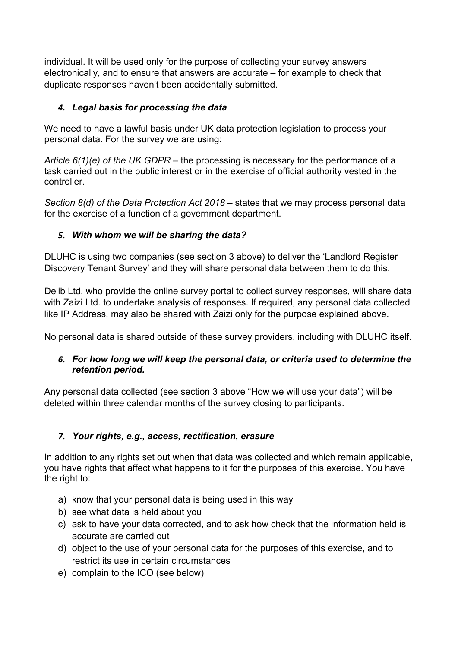individual. It will be used only for the purpose of collecting your survey answers electronically, and to ensure that answers are accurate – for example to check that duplicate responses haven't been accidentally submitted.

# *4. Legal basis for processing the data*

We need to have a lawful basis under UK data protection legislation to process your personal data. For the survey we are using:

*Article 6(1)(e) of the UK GDPR –* the processing is necessary for the performance of a task carried out in the public interest or in the exercise of official authority vested in the controller.

*Section 8(d) of the Data Protection Act 2018* – states that we may process personal data for the exercise of a function of a government department.

## *5. With whom we will be sharing the data?*

DLUHC is using two companies (see section 3 above) to deliver the 'Landlord Register Discovery Tenant Survey' and they will share personal data between them to do this.

Delib Ltd, who provide the online survey portal to collect survey responses, will share data with Zaizi Ltd. to undertake analysis of responses. If required, any personal data collected like IP Address, may also be shared with Zaizi only for the purpose explained above.

No personal data is shared outside of these survey providers, including with DLUHC itself.

## *6. For how long we will keep the personal data, or criteria used to determine the retention period.*

Any personal data collected (see section 3 above "How we will use your data") will be deleted within three calendar months of the survey closing to participants.

# *7. Your rights, e.g., access, rectification, erasure*

In addition to any rights set out when that data was collected and which remain applicable, you have rights that affect what happens to it for the purposes of this exercise. You have the right to:

- a) know that your personal data is being used in this way
- b) see what data is held about you
- c) ask to have your data corrected, and to ask how check that the information held is accurate are carried out
- d) object to the use of your personal data for the purposes of this exercise, and to restrict its use in certain circumstances
- e) complain to the ICO (see below)